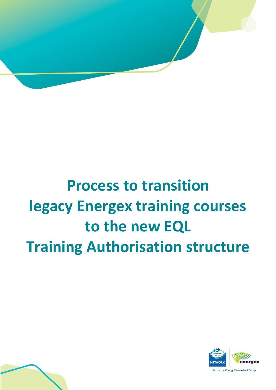

# **Process to transition legacy Energex training courses to the new EQL Training Authorisation structure**

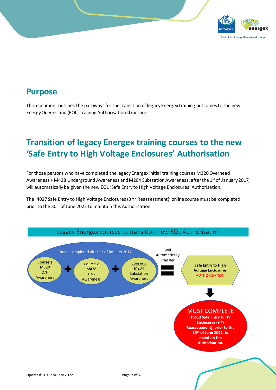

#### **Purpose**

This document outlines the pathways for the transition of legacy Energex training outcomes to the new Energy Queensland (EQL) training Authorisation structure.

## **Transition of legacy Energex training courses to the new 'Safe Entry to High Voltage Enclosures' Authorisation**

For those persons who have completed the legacy Energex initial training courses M320 Overhead Awareness + M428 Underground Awareness and M204 Substation Awareness, after the 1<sup>st</sup> of January 2017, will automatically be given the new EQL 'Safe Entry to High Voltage Enclosures' Authorisation.

The '4027 Safe Entry to High Voltage Enclosures(3 Yr Reassessment)' online course must be completed prior to the 30th of June 2022 to maintain this Authorisation.

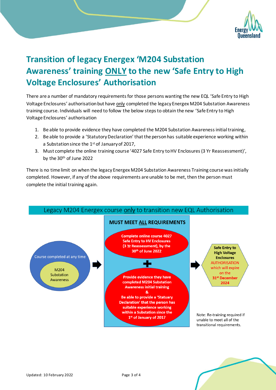

## **Transition of legacy Energex 'M204 Substation Awareness' training ONLY to the new 'Safe Entry to High Voltage Enclosures' Authorisation**

There are a number of mandatory requirements for those persons wanting the new EQL 'Safe Entry to High Voltage Enclosures' authorisation but have only completed the legacy Energex M204 Substation Awareness training course. Individuals will need to follow the below steps to obtain the new 'Safe Entry to High Voltage Enclosures' authorisation

- 1. Be able to provide evidence they have completed the M204 Substation Awareness initial training,
- 2. Be able to provide a 'Statutory Declaration' that the person has suitable experience working within a Substation since the 1st of January of 2017,
- 3. Must complete the online training course '4027 Safe Entry to HV Enclosures (3 Yr Reassessment)', by the 30<sup>th</sup> of June 2022

There is no time limit on when the legacy Energex M204 Substation Awareness Training course was initially completed. However, if any of the above requirements are unable to be met, then the person must complete the initial training again.